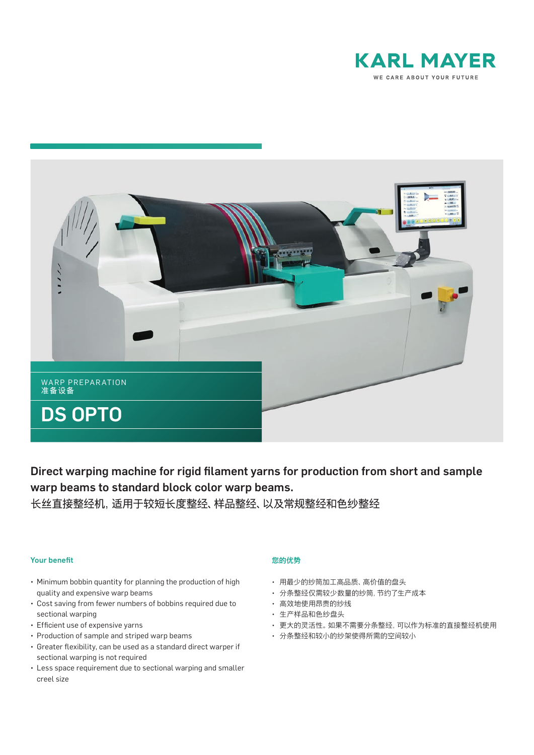



Direct warping machine for rigid filament yarns for production from short and sample warp beams to standard block color warp beams.

长丝直接整经机,适用于较短长度整经、样品整经、以及常规整经和色纱整经

### **Your benefit**

- Minimum bobbin quantity for planning the production of high quality and expensive warp beams
- Cost saving from fewer numbers of bobbins required due to sectional warping
- Efficient use of expensive yarns
- Production of sample and striped warp beams
- Greater flexibility, can be used as a standard direct warper if sectional warping is not required
- Less space requirement due to sectional warping and smaller creel size

# 您的优势

- 用最少的纱筒加工高品质、高价值的盘头
- 分条整经仅需较少数量的纱筒,节约了生产成本
- 高效地使用昂贵的纱线
- 生产样品和色纱盘头
- 更大的灵活性。如果不需要分条整经,可以作为标准的直接整经机使用
- 分条整经和较小的纱架使得所需的空间较小